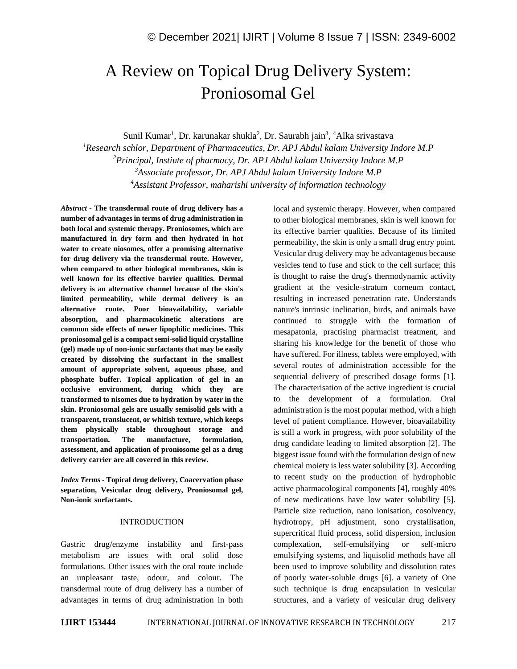# A Review on Topical Drug Delivery System: Proniosomal Gel

Sunil Kumar<sup>1</sup>, Dr. karunakar shukla<sup>2</sup>, Dr. Saurabh jain<sup>3</sup>, <sup>4</sup>Alka srivastava

*Research schlor, Department of Pharmaceutics, Dr. APJ Abdul kalam University Indore M.P Principal, Instiute of pharmacy, Dr. APJ Abdul kalam University Indore M.P Associate professor, Dr. APJ Abdul kalam University Indore M.P Assistant Professor, maharishi university of information technology*

*Abstract -* **The transdermal route of drug delivery has a number of advantages in terms of drug administration in both local and systemic therapy. Proniosomes, which are manufactured in dry form and then hydrated in hot water to create niosomes, offer a promising alternative for drug delivery via the transdermal route. However, when compared to other biological membranes, skin is well known for its effective barrier qualities. Dermal delivery is an alternative channel because of the skin's limited permeability, while dermal delivery is an alternative route. Poor bioavailability, variable absorption, and pharmacokinetic alterations are common side effects of newer lipophilic medicines. This proniosomal gel is a compact semi-solid liquid crystalline (gel) made up of non-ionic surfactants that may be easily created by dissolving the surfactant in the smallest amount of appropriate solvent, aqueous phase, and phosphate buffer. Topical application of gel in an occlusive environment, during which they are transformed to nisomes due to hydration by water in the skin. Proniosomal gels are usually semisolid gels with a transparent, translucent, or whitish texture, which keeps them physically stable throughout storage and transportation. The manufacture, formulation, assessment, and application of proniosome gel as a drug delivery carrier are all covered in this review.**

*Index Terms -* **Topical drug delivery, Coacervation phase separation, Vesicular drug delivery, Proniosomal gel, Non-ionic surfactants.**

## INTRODUCTION

Gastric drug/enzyme instability and first-pass metabolism are issues with oral solid dose formulations. Other issues with the oral route include an unpleasant taste, odour, and colour. The transdermal route of drug delivery has a number of advantages in terms of drug administration in both

local and systemic therapy. However, when compared to other biological membranes, skin is well known for its effective barrier qualities. Because of its limited permeability, the skin is only a small drug entry point. Vesicular drug delivery may be advantageous because vesicles tend to fuse and stick to the cell surface; this is thought to raise the drug's thermodynamic activity gradient at the vesicle-stratum corneum contact, resulting in increased penetration rate. Understands nature's intrinsic inclination, birds, and animals have continued to struggle with the formation of mesapatonia, practising pharmacist treatment, and sharing his knowledge for the benefit of those who have suffered. For illness, tablets were employed, with several routes of administration accessible for the sequential delivery of prescribed dosage forms [1]. The characterisation of the active ingredient is crucial to the development of a formulation. Oral administration is the most popular method, with a high level of patient compliance. However, bioavailability is still a work in progress, with poor solubility of the drug candidate leading to limited absorption [2]. The biggest issue found with the formulation design of new chemical moiety is less water solubility [3]. According to recent study on the production of hydrophobic active pharmacological components [4], roughly 40% of new medications have low water solubility [5]. Particle size reduction, nano ionisation, cosolvency, hydrotropy, pH adjustment, sono crystallisation, supercritical fluid process, solid dispersion, inclusion complexation, self-emulsifying or self-micro emulsifying systems, and liquisolid methods have all been used to improve solubility and dissolution rates of poorly water-soluble drugs [6]. a variety of One such technique is drug encapsulation in vesicular structures, and a variety of vesicular drug delivery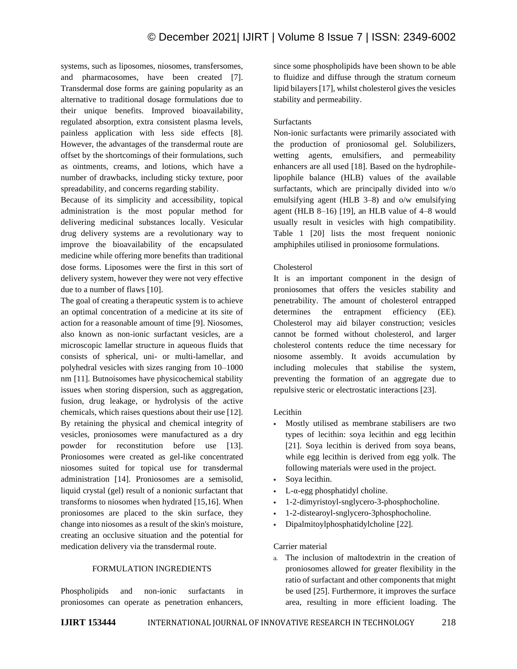systems, such as liposomes, niosomes, transfersomes, and pharmacosomes, have been created [7]. Transdermal dose forms are gaining popularity as an alternative to traditional dosage formulations due to their unique benefits. Improved bioavailability, regulated absorption, extra consistent plasma levels, painless application with less side effects [8]. However, the advantages of the transdermal route are offset by the shortcomings of their formulations, such as ointments, creams, and lotions, which have a number of drawbacks, including sticky texture, poor spreadability, and concerns regarding stability.

Because of its simplicity and accessibility, topical administration is the most popular method for delivering medicinal substances locally. Vesicular drug delivery systems are a revolutionary way to improve the bioavailability of the encapsulated medicine while offering more benefits than traditional dose forms. Liposomes were the first in this sort of delivery system, however they were not very effective due to a number of flaws [10].

The goal of creating a therapeutic system is to achieve an optimal concentration of a medicine at its site of action for a reasonable amount of time [9]. Niosomes, also known as non-ionic surfactant vesicles, are a microscopic lamellar structure in aqueous fluids that consists of spherical, uni- or multi-lamellar, and polyhedral vesicles with sizes ranging from 10–1000 nm [11]. Butnoisomes have physicochemical stability issues when storing dispersion, such as aggregation, fusion, drug leakage, or hydrolysis of the active chemicals, which raises questions about their use [12]. By retaining the physical and chemical integrity of vesicles, proniosomes were manufactured as a dry powder for reconstitution before use [13]. Proniosomes were created as gel-like concentrated niosomes suited for topical use for transdermal administration [14]. Proniosomes are a semisolid, liquid crystal (gel) result of a nonionic surfactant that transforms to niosomes when hydrated [15,16]. When proniosomes are placed to the skin surface, they change into niosomes as a result of the skin's moisture, creating an occlusive situation and the potential for medication delivery via the transdermal route.

# FORMULATION INGREDIENTS

Phospholipids and non-ionic surfactants in proniosomes can operate as penetration enhancers, since some phospholipids have been shown to be able to fluidize and diffuse through the stratum corneum lipid bilayers [17], whilst cholesterol gives the vesicles stability and permeability.

## Surfactants

Non-ionic surfactants were primarily associated with the production of proniosomal gel. Solubilizers, wetting agents, emulsifiers, and permeability enhancers are all used [18]. Based on the hydrophilelipophile balance (HLB) values of the available surfactants, which are principally divided into w/o emulsifying agent (HLB 3–8) and o/w emulsifying agent (HLB 8–16) [19], an HLB value of  $4-8$  would usually result in vesicles with high compatibility. Table 1 [20] lists the most frequent nonionic amphiphiles utilised in proniosome formulations.

## Cholesterol

It is an important component in the design of proniosomes that offers the vesicles stability and penetrability. The amount of cholesterol entrapped determines the entrapment efficiency (EE). Cholesterol may aid bilayer construction; vesicles cannot be formed without cholesterol, and larger cholesterol contents reduce the time necessary for niosome assembly. It avoids accumulation by including molecules that stabilise the system, preventing the formation of an aggregate due to repulsive steric or electrostatic interactions [23].

# Lecithin

- Mostly utilised as membrane stabilisers are two types of lecithin: soya lecithin and egg lecithin [21]. Soya lecithin is derived from soya beans, while egg lecithin is derived from egg yolk. The following materials were used in the project.
- Soya lecithin.
- L- $\alpha$ -egg phosphatidyl choline.
- 1-2-dimyristoyl-snglycero-3-phosphocholine.
- 1-2-distearoyl-snglycero-3phosphocholine.
- Dipalmitoylphosphatidylcholine [22].

## Carrier material

a. The inclusion of maltodextrin in the creation of proniosomes allowed for greater flexibility in the ratio of surfactant and other components that might be used [25]. Furthermore, it improves the surface area, resulting in more efficient loading. The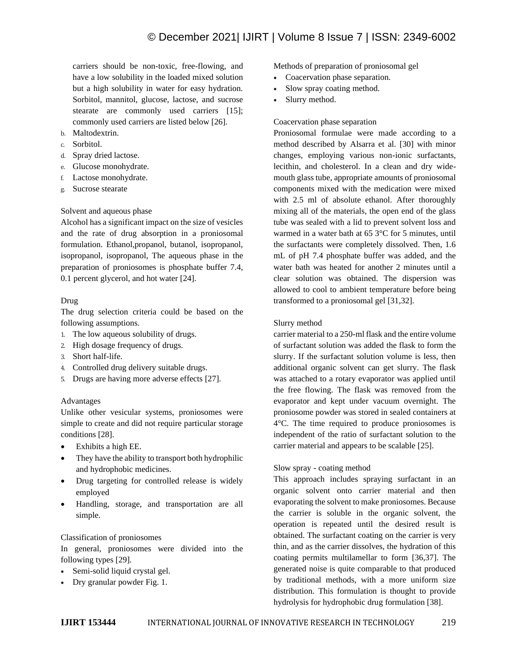carriers should be non-toxic, free-flowing, and have a low solubility in the loaded mixed solution but a high solubility in water for easy hydration. Sorbitol, mannitol, glucose, lactose, and sucrose stearate are commonly used carriers [15]; commonly used carriers are listed below [26].

- b. Maltodextrin.
- c. Sorbitol.
- d. Spray dried lactose.
- e. Glucose monohydrate.
- f. Lactose monohydrate.
- g. Sucrose stearate

## Solvent and aqueous phase

Alcohol has a significant impact on the size of vesicles and the rate of drug absorption in a proniosomal formulation. Ethanol,propanol, butanol, isopropanol, isopropanol, isopropanol, The aqueous phase in the preparation of proniosomes is phosphate buffer 7.4, 0.1 percent glycerol, and hot water [24].

## Drug

The drug selection criteria could be based on the following assumptions.

- 1. The low aqueous solubility of drugs.
- 2. High dosage frequency of drugs.
- 3. Short half-life.
- 4. Controlled drug delivery suitable drugs.
- 5. Drugs are having more adverse effects [27].

## Advantages

Unlike other vesicular systems, proniosomes were simple to create and did not require particular storage conditions [28].

- Exhibits a high EE.
- They have the ability to transport both hydrophilic and hydrophobic medicines.
- Drug targeting for controlled release is widely employed
- Handling, storage, and transportation are all simple.

## Classification of proniosomes

In general, proniosomes were divided into the following types [29].

- Semi-solid liquid crystal gel.
- Dry granular powder Fig. 1.

Methods of preparation of proniosomal gel

- Coacervation phase separation.
- Slow spray coating method.
- Slurry method.

# Coacervation phase separation

Proniosomal formulae were made according to a method described by Alsarra et al. [30] with minor changes, employing various non-ionic surfactants, lecithin, and cholesterol. In a clean and dry widemouth glass tube, appropriate amounts of proniosomal components mixed with the medication were mixed with 2.5 ml of absolute ethanol. After thoroughly mixing all of the materials, the open end of the glass tube was sealed with a lid to prevent solvent loss and warmed in a water bath at 65 3°C for 5 minutes, until the surfactants were completely dissolved. Then, 1.6 mL of pH 7.4 phosphate buffer was added, and the water bath was heated for another 2 minutes until a clear solution was obtained. The dispersion was allowed to cool to ambient temperature before being transformed to a proniosomal gel [31,32].

## Slurry method

carrier material to a 250-ml flask and the entire volume of surfactant solution was added the flask to form the slurry. If the surfactant solution volume is less, then additional organic solvent can get slurry. The flask was attached to a rotary evaporator was applied until the free flowing. The flask was removed from the evaporator and kept under vacuum overnight. The proniosome powder was stored in sealed containers at 4°C. The time required to produce proniosomes is independent of the ratio of surfactant solution to the carrier material and appears to be scalable [25].

## Slow spray - coating method

This approach includes spraying surfactant in an organic solvent onto carrier material and then evaporating the solvent to make proniosomes. Because the carrier is soluble in the organic solvent, the operation is repeated until the desired result is obtained. The surfactant coating on the carrier is very thin, and as the carrier dissolves, the hydration of this coating permits multilamellar to form [36,37]. The generated noise is quite comparable to that produced by traditional methods, with a more uniform size distribution. This formulation is thought to provide hydrolysis for hydrophobic drug formulation [38].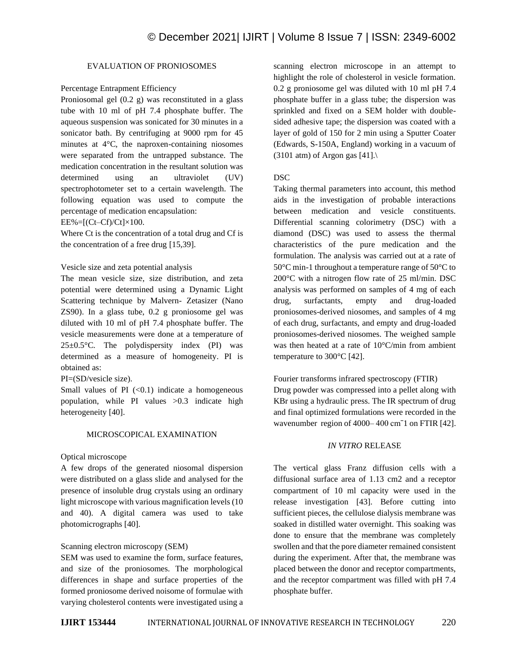# EVALUATION OF PRONIOSOMES

#### Percentage Entrapment Efficiency

Proniosomal gel (0.2 g) was reconstituted in a glass tube with 10 ml of pH 7.4 phosphate buffer. The aqueous suspension was sonicated for 30 minutes in a sonicator bath. By centrifuging at 9000 rpm for 45 minutes at 4°C, the naproxen-containing niosomes were separated from the untrapped substance. The medication concentration in the resultant solution was determined using an ultraviolet (UV) spectrophotometer set to a certain wavelength. The following equation was used to compute the percentage of medication encapsulation:

 $EE%=[(Ct–Cf)/Ct]\times100.$ 

Where Ct is the concentration of a total drug and Cf is the concentration of a free drug [15,39].

## Vesicle size and zeta potential analysis

The mean vesicle size, size distribution, and zeta potential were determined using a Dynamic Light Scattering technique by Malvern- Zetasizer (Nano ZS90). In a glass tube, 0.2 g proniosome gel was diluted with 10 ml of pH 7.4 phosphate buffer. The vesicle measurements were done at a temperature of  $25\pm0.5$ °C. The polydispersity index (PI) was determined as a measure of homogeneity. PI is obtained as:

PI=(SD/vesicle size).

Small values of PI  $( $0.1$ ) indicate a homogeneous$ population, while PI values >0.3 indicate high heterogeneity [40].

#### MICROSCOPICAL EXAMINATION

#### Optical microscope

A few drops of the generated niosomal dispersion were distributed on a glass slide and analysed for the presence of insoluble drug crystals using an ordinary light microscope with various magnification levels (10 and 40). A digital camera was used to take photomicrographs [40].

## Scanning electron microscopy (SEM)

SEM was used to examine the form, surface features, and size of the proniosomes. The morphological differences in shape and surface properties of the formed proniosome derived noisome of formulae with varying cholesterol contents were investigated using a scanning electron microscope in an attempt to highlight the role of cholesterol in vesicle formation. 0.2 g proniosome gel was diluted with 10 ml pH 7.4 phosphate buffer in a glass tube; the dispersion was sprinkled and fixed on a SEM holder with doublesided adhesive tape; the dispersion was coated with a layer of gold of 150 for 2 min using a Sputter Coater (Edwards, S-150A, England) working in a vacuum of  $(3101$  atm) of Argon gas [41].

#### DSC

Taking thermal parameters into account, this method aids in the investigation of probable interactions between medication and vesicle constituents. Differential scanning colorimetry (DSC) with a diamond (DSC) was used to assess the thermal characteristics of the pure medication and the formulation. The analysis was carried out at a rate of 50°C min-1 throughout a temperature range of 50°C to 200°C with a nitrogen flow rate of 25 ml/min. DSC analysis was performed on samples of 4 mg of each drug, surfactants, empty and drug-loaded proniosomes-derived niosomes, and samples of 4 mg of each drug, surfactants, and empty and drug-loaded proniosomes-derived niosomes. The weighed sample was then heated at a rate of 10°C/min from ambient temperature to 300°C [42].

Fourier transforms infrared spectroscopy (FTIR) Drug powder was compressed into a pellet along with KBr using a hydraulic press. The IR spectrum of drug and final optimized formulations were recorded in the wavenumber region of 4000– 400 cmˉ1 on FTIR [42].

## *IN VITRO* RELEASE

The vertical glass Franz diffusion cells with a diffusional surface area of 1.13 cm2 and a receptor compartment of 10 ml capacity were used in the release investigation [43]. Before cutting into sufficient pieces, the cellulose dialysis membrane was soaked in distilled water overnight. This soaking was done to ensure that the membrane was completely swollen and that the pore diameter remained consistent during the experiment. After that, the membrane was placed between the donor and receptor compartments, and the receptor compartment was filled with pH 7.4 phosphate buffer.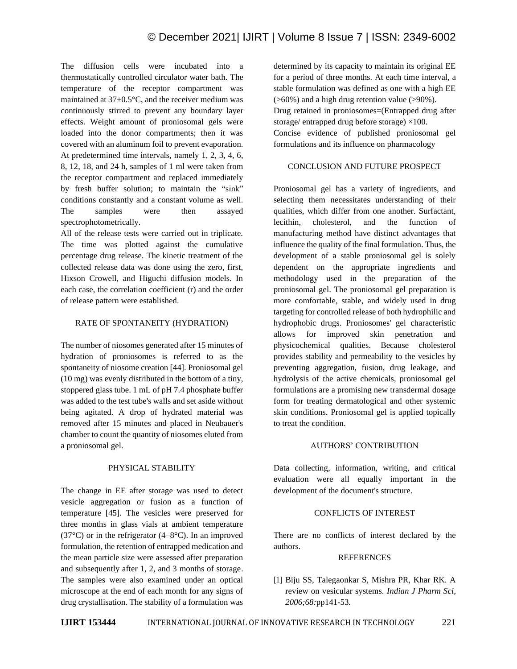The diffusion cells were incubated into a thermostatically controlled circulator water bath. The temperature of the receptor compartment was maintained at 37±0.5°C, and the receiver medium was continuously stirred to prevent any boundary layer effects. Weight amount of proniosomal gels were loaded into the donor compartments; then it was covered with an aluminum foil to prevent evaporation. At predetermined time intervals, namely 1, 2, 3, 4, 6, 8, 12, 18, and 24 h, samples of 1 ml were taken from the receptor compartment and replaced immediately by fresh buffer solution; to maintain the "sink" conditions constantly and a constant volume as well. The samples were then assayed spectrophotometrically.

All of the release tests were carried out in triplicate. The time was plotted against the cumulative percentage drug release. The kinetic treatment of the collected release data was done using the zero, first, Hixson Crowell, and Higuchi diffusion models. In each case, the correlation coefficient (r) and the order of release pattern were established.

# RATE OF SPONTANEITY (HYDRATION)

The number of niosomes generated after 15 minutes of hydration of proniosomes is referred to as the spontaneity of niosome creation [44]. Proniosomal gel (10 mg) was evenly distributed in the bottom of a tiny, stoppered glass tube. 1 mL of pH 7.4 phosphate buffer was added to the test tube's walls and set aside without being agitated. A drop of hydrated material was removed after 15 minutes and placed in Neubauer's chamber to count the quantity of niosomes eluted from a proniosomal gel.

# PHYSICAL STABILITY

The change in EE after storage was used to detect vesicle aggregation or fusion as a function of temperature [45]. The vesicles were preserved for three months in glass vials at ambient temperature (37 $\degree$ C) or in the refrigerator (4–8 $\degree$ C). In an improved formulation, the retention of entrapped medication and the mean particle size were assessed after preparation and subsequently after 1, 2, and 3 months of storage. The samples were also examined under an optical microscope at the end of each month for any signs of drug crystallisation. The stability of a formulation was determined by its capacity to maintain its original EE for a period of three months. At each time interval, a stable formulation was defined as one with a high EE  $($ >60%) and a high drug retention value (>90%). Drug retained in proniosomes=(Entrapped drug after storage/ entrapped drug before storage) ×100. Concise evidence of published proniosomal gel formulations and its influence on pharmacology

# CONCLUSION AND FUTURE PROSPECT

Proniosomal gel has a variety of ingredients, and selecting them necessitates understanding of their qualities, which differ from one another. Surfactant, lecithin, cholesterol, and the function of manufacturing method have distinct advantages that influence the quality of the final formulation. Thus, the development of a stable proniosomal gel is solely dependent on the appropriate ingredients and methodology used in the preparation of the proniosomal gel. The proniosomal gel preparation is more comfortable, stable, and widely used in drug targeting for controlled release of both hydrophilic and hydrophobic drugs. Proniosomes' gel characteristic allows for improved skin penetration and physicochemical qualities. Because cholesterol provides stability and permeability to the vesicles by preventing aggregation, fusion, drug leakage, and hydrolysis of the active chemicals, proniosomal gel formulations are a promising new transdermal dosage form for treating dermatological and other systemic skin conditions. Proniosomal gel is applied topically to treat the condition.

# AUTHORS' CONTRIBUTION

Data collecting, information, writing, and critical evaluation were all equally important in the development of the document's structure.

# CONFLICTS OF INTEREST

There are no conflicts of interest declared by the authors.

## REFERENCES

[1] Biju SS, Talegaonkar S, Mishra PR, Khar RK. A review on vesicular systems. *Indian J Pharm Sci, 2006;68:*pp141-53*.*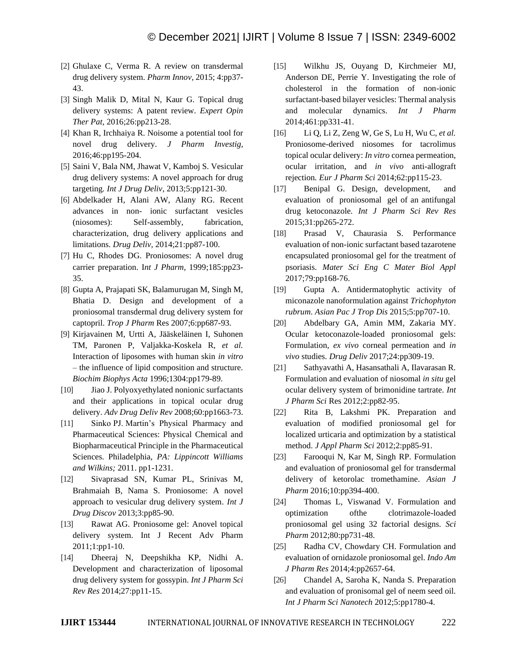- [2] Ghulaxe C, Verma R. A review on transdermal drug delivery system. *Pharm Innov,* 2015; 4:pp37- 43.
- [3] Singh Malik D, Mital N, Kaur G. Topical drug delivery systems: A patent review. *Expert Opin Ther Pat,* 2016;26:pp213-28.
- [4] Khan R, Irchhaiya R. Noisome a potential tool for novel drug delivery. *J Pharm Investig,* 2016;46:pp195-204.
- [5] Saini V, Bala NM, Jhawat V, Kamboj S. Vesicular drug delivery systems: A novel approach for drug targeting*. Int J Drug Deliv*, 2013;5:pp121-30.
- [6] Abdelkader H, Alani AW, Alany RG. Recent advances in non- ionic surfactant vesicles (niosomes): Self-assembly, fabrication, characterization, drug delivery applications and limitations. *Drug Deliv,* 2014;21:pp87-100.
- [7] Hu C, Rhodes DG. Proniosomes: A novel drug carrier preparation. I*nt J Pharm,* 1999;185:pp23- 35.
- [8] Gupta A, Prajapati SK, Balamurugan M, Singh M, Bhatia D. Design and development of a proniosomal transdermal drug delivery system for captopril. *Trop J Pharm* Res 2007;6:pp687-93.
- [9] Kirjavainen M, Urtti A, Jääskeläinen I, Suhonen TM, Paronen P, Valjakka-Koskela R, *et al.*  Interaction of liposomes with human skin *in vitro*  – the influence of lipid composition and structure. *Biochim Biophys Acta* 1996;1304:pp179-89.
- [10] Jiao J. Polyoxyethylated nonionic surfactants and their applications in topical ocular drug delivery. *Adv Drug Deliv Rev* 2008;60:pp1663-73.
- [11] Sinko PJ. Martin's Physical Pharmacy and Pharmaceutical Sciences: Physical Chemical and Biopharmaceutical Principle in the Pharmaceutical Sciences. Philadelphia, *PA: Lippincott Williams and Wilkins;* 2011. pp1-1231.
- [12] Sivaprasad SN, Kumar PL, Srinivas M, Brahmaiah B, Nama S. Proniosome: A novel approach to vesicular drug delivery system. *Int J Drug Discov* 2013;3:pp85-90.
- [13] Rawat AG. Proniosome gel: Anovel topical delivery system. Int J Recent Adv Pharm 2011;1:pp1-10.
- [14] Dheeraj N, Deepshikha KP, Nidhi A. Development and characterization of liposomal drug delivery system for gossypin. *Int J Pharm Sci Rev Res* 2014;27:pp11-15.
- [15] Wilkhu JS, Ouyang D, Kirchmeier MJ, Anderson DE, Perrie Y. Investigating the role of cholesterol in the formation of non-ionic surfactant-based bilayer vesicles: Thermal analysis and molecular dynamics. *Int J Pharm* 2014;461:pp331-41.
- [16] Li Q, Li Z, Zeng W, Ge S, Lu H, Wu C, *et al.*  Proniosome-derived niosomes for tacrolimus topical ocular delivery: *In vitro* cornea permeation, ocular irritation, and *in vivo* anti-allograft rejection*. Eur J Pharm Sci* 2014;62:pp115-23.
- [17] Benipal G. Design, development, and evaluation of proniosomal gel of an antifungal drug ketoconazole*. Int J Pharm Sci Rev Res* 2015;31:pp265-272.
- [18] Prasad V, Chaurasia S. Performance evaluation of non-ionic surfactant based tazarotene encapsulated proniosomal gel for the treatment of psoriasis. *Mater Sci Eng C Mater Biol Appl* 2017;79:pp168-76.
- [19] Gupta A. Antidermatophytic activity of miconazole nanoformulation against *Trichophyton rubrum*. *Asian Pac J Trop Dis* 2015;5:pp707-10.
- [20] Abdelbary GA, Amin MM, Zakaria MY. Ocular ketoconazole-loaded proniosomal gels: Formulation, *ex vivo* corneal permeation and *in vivo* studies. *Drug Deliv* 2017;24:pp309-19.
- [21] Sathyavathi A, Hasansathali A, Ilavarasan R. Formulation and evaluation of niosomal *in situ* gel ocular delivery system of brimonidine tartrate*. Int J Pharm Sci* Res 2012;2:pp82-95.
- [22] Rita B, Lakshmi PK. Preparation and evaluation of modified proniosomal gel for localized urticaria and optimization by a statistical method. *J Appl Pharm Sci* 2012;2:pp85-91.
- [23] Farooqui N, Kar M, Singh RP. Formulation and evaluation of proniosomal gel for transdermal delivery of ketorolac tromethamine. *Asian J Pharm* 2016;10:pp394-400.
- [24] Thomas L, Viswanad V. Formulation and optimization ofthe clotrimazole-loaded proniosomal gel using 32 factorial designs. *Sci Pharm* 2012;80:pp731-48.
- [25] Radha CV, Chowdary CH. Formulation and evaluation of ornidazole proniosomal gel. *Indo Am J Pharm Res* 2014;4:pp2657-64.
- [26] Chandel A, Saroha K, Nanda S. Preparation and evaluation of pronisomal gel of neem seed oil*. Int J Pharm Sci Nanotech* 2012;5:pp1780-4.